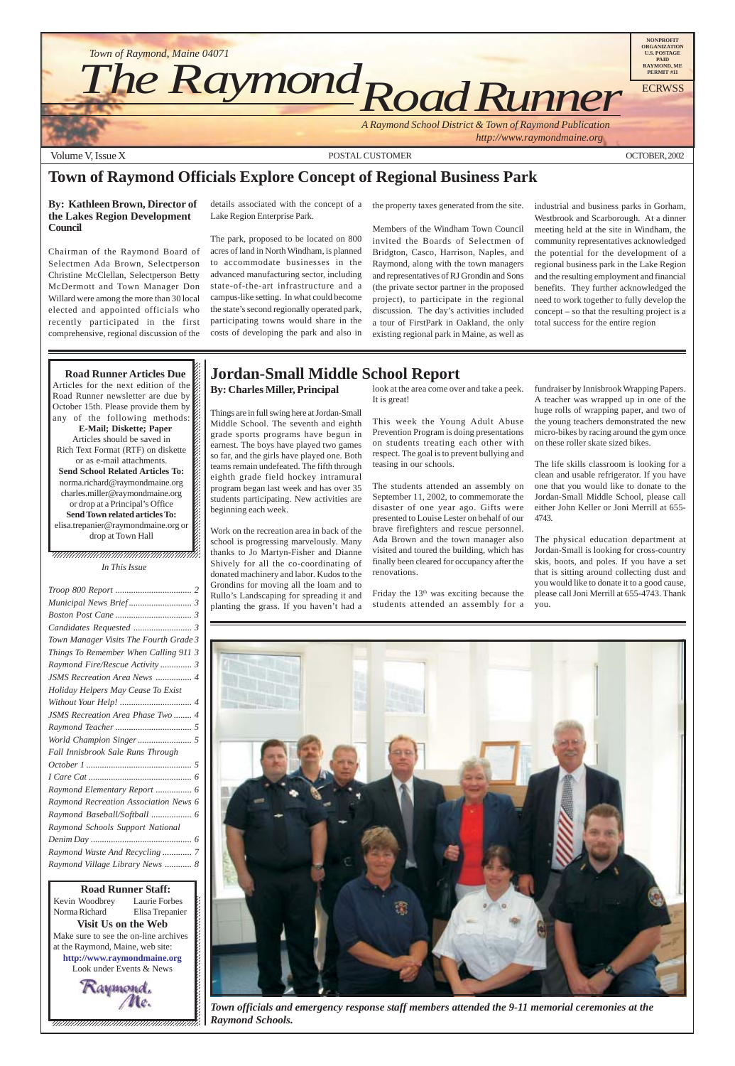

12345678901234567890123456789012345678901234567890123456789012345678901234567890123456789012345678901234567890 12345678901234567890123456789012123456789012345678 Kevin Woodbrey Laurie Forbes  $\cancel{\mathcal{E}}$ Laurie Forbes Norma Richard Elisa Trepanier  $\blacksquare$ **Visit Us on the Web** 12345678901234567890123456789012123456789012345678 Make sure to see the on-line archives  $\mathcal{L}$ 12345678901234567890123456789012123456789012345678 at the Raymond, Maine, web site:  $\mathcal{L}$ **http://www.raymondmaine.org** 12345678901234567890123456789012123456789012345678 Look under Events & News  $\mathcal{L}$ 12345678901234567890123456789012123456789012345678  $18.8$  8  $18.8$  8  $18.8$  8  $18.8$  8  $18.8$  8  $18.8$  8  $18.8$  8  $18.8$  8  $18.8$  8  $18.8$  8  $18.8$  8  $18.8$  8  $18.8$  8  $18.8$  8  $18.8$  8  $18.8$  8  $18.8$  8  $18.8$  8  $18.8$  8  $18.8$  8  $18.8$  8  $18.8$  8  $18.8$  8  $18.8$  8  $18.8$ **Road Runner Staff:**



12345678901234567890123456789012123456789012345678

Friday the 13<sup>th</sup> was exciting because the students attended an assembly for a

 $\blacksquare$ , 1234567891234567891234567891234567891234567891234578 *In This Issue*

| Town Manager Visits The Fourth Grade 3 |
|----------------------------------------|
| Things To Remember When Calling 911 3  |
| Raymond Fire/Rescue Activity 3         |
| <b>JSMS</b> Recreation Area News  4    |
| Holiday Helpers May Cease To Exist     |
|                                        |
| JSMS Recreation Area Phase Two  4      |
|                                        |
|                                        |
| Fall Innisbrook Sale Runs Through      |
|                                        |
|                                        |
| Raymond Elementary Report  6           |
| Raymond Recreation Association News 6  |

 $1235678901234587890123456789012345678901234567890123456789012345678901234567890123456789012345678901234567890123456789012345678901234567890123456789012345678901234567890123456789012345678901234567890123456789012345678901$  $1235678901234587890123456789012345678901234567890123456789012345678901234567890123456789012345678901234567890123456789012345678901234567890123456789012345678901234567890123456789012345678901234567890123456789012345678901$ 

## **Town of Raymond Officials Explore Concept of Regional Business Park**

#### **By: Kathleen Brown, Director of the Lakes Region Development Council**

Chairman of the Raymond Board of Selectmen Ada Brown, Selectperson Christine McClellan, Selectperson Betty McDermott and Town Manager Don Willard were among the more than 30 local elected and appointed officials who recently participated in the first comprehensive, regional discussion of the

details associated with the concept of a the property taxes generated from the site. Lake Region Enterprise Park.

The park, proposed to be located on 800 acres of land in North Windham, is planned to accommodate businesses in the advanced manufacturing sector, including state-of-the-art infrastructure and a campus-like setting. In what could become the state's second regionally operated park, participating towns would share in the costs of developing the park and also in

Members of the Windham Town Council invited the Boards of Selectmen of Bridgton, Casco, Harrison, Naples, and Raymond, along with the town managers and representatives of RJ Grondin and Sons (the private sector partner in the proposed project), to participate in the regional discussion. The day's activities included a tour of FirstPark in Oakland, the only existing regional park in Maine, as well as

industrial and business parks in Gorham, Westbrook and Scarborough. At a dinner meeting held at the site in Windham, the community representatives acknowledged the potential for the development of a regional business park in the Lake Region and the resulting employment and financial benefits. They further acknowledged the need to work together to fully develop the concept – so that the resulting project is a total success for the entire region

#### 12345678901234567890123456789012345678901234567890123456789012345678901234567890123456789012345678901234567890 12345678901234567890123456789012123456789012345678  $1235678901234567890123456789012345678901234567890123456789012345678901234567890123456789012345678901234567890123456789012345678901234567890123456789012345678901234567890123456789012345678901234567890123456789012345678901$ **Road Runner Articles Due**

Articles for the next edition of the  $\mathbb Z$ Road Runner newsletter are due by October 15th. Please provide them by any of the following methods:  $\mathscr{L}$  $18.8$  8  $18.8$  8  $18.8$  8  $18.8$  8  $18.8$  8  $18.8$  8  $18.8$  8  $18.8$  8  $18.8$  8  $18.8$  8  $18.8$  8  $18.8$  8  $18.8$  8  $18.8$  8  $18.8$  8  $18.8$  8  $18.8$  8  $18.8$  8  $18.8$  8  $18.8$  8  $18.8$  8  $18.8$  8  $18.8$  8  $18.8$  8  $18.8$ **E-Mail; Diskette; Paper** 1234<del>5678012345678901234567890234567890234578</del> Articles should be saved in  $\%$  $1235678901234567890123456789012345678901234567890123456789012345678901234567890123456789012345678901234567890123456789012345678901234567890123456789012345678901234567890123456789012345678901234567890123456789012345678901$ Rich Text Format (RTF) on diskette  $\mathcal{Z}$ or as e-mail attachments.  $1235678901234587890123456789012345678901234567890123456789012345678901234567890123456789012345678901234567890123456789012345678901234567890123456789012345678901234567890123456789012345678901234567890123456789012345678901$ **Send School Related Articles To:** norma.richard@raymondmaine.org  $1$  8  $1$  8  $1$  8  $1$  8  $1$  8  $1$ charles.miller@raymondmaine.org  $18.8$  8  $18.8$  8  $18.8$  8  $18.8$  8  $18.8$  8  $18.8$  8  $18.8$  8  $18.8$  8  $18.8$  8  $18.8$  8  $18.8$  8  $18.8$  8  $18.8$  8  $18.8$  8  $18.8$  8  $18.8$  8  $18.8$  8  $18.8$  8  $18.8$  8  $18.8$  8  $18.8$  8  $18.8$  8  $18.8$  8  $18.8$  8  $18.8$ or drop at a Principal's Office  $\mathscr{C}$ **Send Town related articles To:**  $1235678901234567890123456789012345678901234567890123456789012345678901234567890123456789012345678901234567890123456789012345678901234567890123456789012345678901234567890123456789012345678901234567890123456789012345678901$ elisa.trepanier@raymondmaine.org or  $\mathscr{C}$  $\Delta$  drop at Town Hall  $1235678901234567890123456789012345678901234567890123456789012345678901234567890123456789012345678901234567890123456789012345678901234567890123456789012345678901234567890123456789012345678901234567890123456789012345678901$ 

## **Jordan-Small Middle School Report**

**By: Charles Miller, Principal**

Things are in full swing here at Jordan-Small Middle School. The seventh and eighth grade sports programs have begun in earnest. The boys have played two games so far, and the girls have played one. Both teams remain undefeated. The fifth through eighth grade field hockey intramural program began last week and has over 35 students participating. New activities are beginning each week.

Work on the recreation area in back of the school is progressing marvelously. Many thanks to Jo Martyn-Fisher and Dianne Shively for all the co-coordinating of donated machinery and labor. Kudos to the Grondins for moving all the loam and to Rullo's Landscaping for spreading it and planting the grass. If you haven't had a look at the area come over and take a peek. It is great!

This week the Young Adult Abuse Prevention Program is doing presentations on students treating each other with respect. The goal is to prevent bullying and teasing in our schools.

The students attended an assembly on September 11, 2002, to commemorate the disaster of one year ago. Gifts were presented to Louise Lester on behalf of our brave firefighters and rescue personnel. Ada Brown and the town manager also visited and toured the building, which has finally been cleared for occupancy after the renovations.

fundraiser by Innisbrook Wrapping Papers. A teacher was wrapped up in one of the huge rolls of wrapping paper, and two of the young teachers demonstrated the new micro-bikes by racing around the gym once on these roller skate sized bikes.

The life skills classroom is looking for a clean and usable refrigerator. If you have one that you would like to donate to the Jordan-Small Middle School, please call either John Keller or Joni Merrill at 655- 4743.

The physical education department at Jordan-Small is looking for cross-country skis, boots, and poles. If you have a set that is sitting around collecting dust and you would like to donate it to a good cause, please call Joni Merrill at 655-4743. Thank you.



*Town officials and emergency response staff members attended the 9-11 memorial ceremonies at the Raymond Schools.*

*[Raymond Baseball/Softball](#page-5-0) .................. 6 [Raymond Schools Support National](#page-5-0) Denim Day [............................................. 6](#page-5-0) [Raymond Waste And Recycling ............. 7](#page-6-0) [Raymond Village Library News ............ 8](#page-7-0)*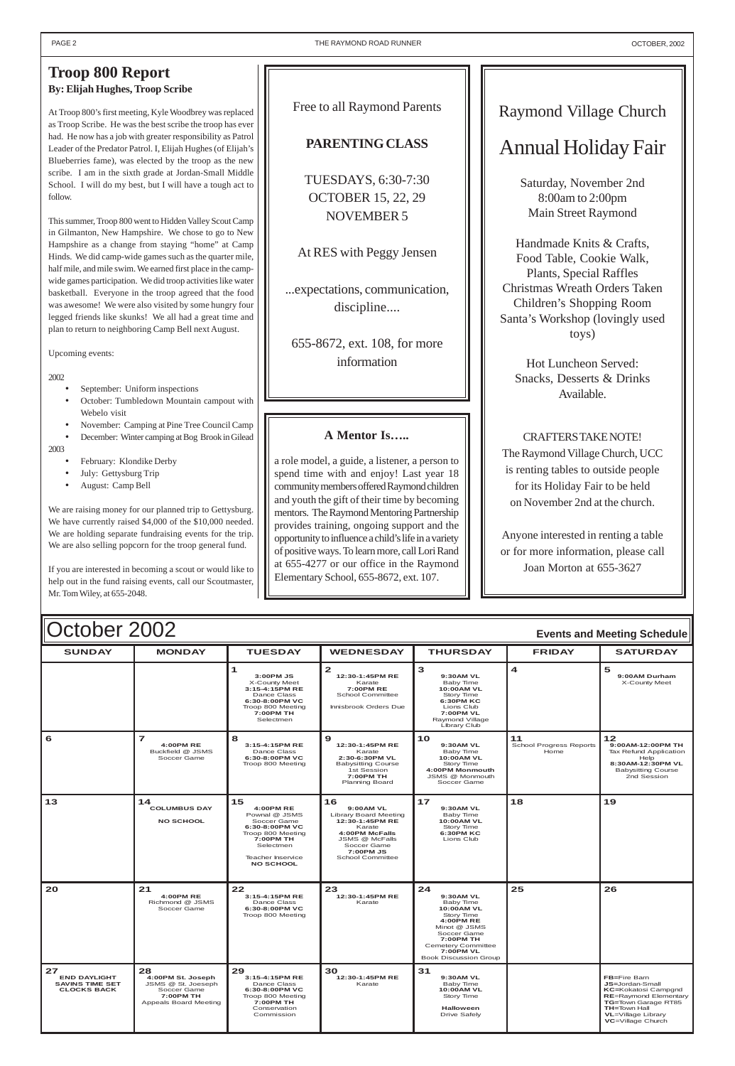| October 2002<br><b>Events and Meeting Schedule</b> |                                              |                                                                                                                               |                                                                                                                                           |                                                                                                                                                  |                                       |                                                                                                                            |
|----------------------------------------------------|----------------------------------------------|-------------------------------------------------------------------------------------------------------------------------------|-------------------------------------------------------------------------------------------------------------------------------------------|--------------------------------------------------------------------------------------------------------------------------------------------------|---------------------------------------|----------------------------------------------------------------------------------------------------------------------------|
| <b>SUNDAY</b>                                      | <b>MONDAY</b>                                | <b>TUESDAY</b>                                                                                                                | <b>WEDNESDAY</b>                                                                                                                          | <b>THURSDAY</b>                                                                                                                                  | <b>FRIDAY</b>                         | <b>SATURDAY</b>                                                                                                            |
|                                                    |                                              | 3:00 PM JS<br>X-County Meet<br>3:15-4:15PM RE<br>Dance Class<br>6:30-8:00PM VC<br>Troop 800 Meeting<br>7:00PM TH<br>Selectmen | $\mathbf{z}$<br>12:30-1:45PM RE<br>Karate<br>7:00PMRE<br>School Committee<br>Innisbrook Orders Due                                        | з<br>9:30AM VL<br>Baby Time<br><b>10:00AM VL</b><br>Story Time<br>6:30PM KC<br>Lions Club<br><b>7:00PM VL</b><br>Raymond Village<br>Library Club | $\boldsymbol{4}$                      | 5<br>9:00AM Durham<br>X-County Meet                                                                                        |
| 6                                                  | 4:00PM RE<br>Buckfield @ JSMS<br>Soccer Game | 8<br>3:15-4:15PM RE<br>Dance Class<br>6:30-8:00PM VC<br>Troop 800 Meeting                                                     | 9<br>12:30-1:45PM RE<br>Karate<br>2:30-6:30PM VL<br><b>Babysitting Course</b><br>1st Session<br><b>7:00PM TH</b><br><b>Planning Board</b> | 10<br>9:30AM VL<br>Baby Time<br><b>10:00AM VL</b><br>Story Time<br>4:00PM Monmouth<br>JSMS @ Monmouth<br>Soccer Game                             | 11<br>School Progress Reports<br>Home | 12<br>9:00AM-12:00PM TH<br>Tax Refund Application<br>Help<br>8:30AM-12:30PM VL<br><b>Babysitting Course</b><br>2nd Session |

<span id="page-1-0"></span>

| 13                                                                        | 14<br><b>COLUMBUS DAY</b><br><b>NO SCHOOL</b>                                                      | 15<br>4:00PM RE<br>Pownal @ JSMS<br>Soccer Game<br>6:30-8:00PM VC<br>Troop 800 Meeting<br>7:00PM TH<br>Selectmen<br>Teacher Inservice<br><b>NO SCHOOL</b> | 16<br>9:00AM VL<br><b>Library Board Meeting</b><br>12:30-1:45PM RE<br>Karate<br>4:00PM McFalls<br>JSMS @ McFalls<br>Soccer Game<br>7:00PM JS<br>School Committee | $17$<br>9:30AM VL<br>Baby Time<br>10:00AM VL<br>Story Time<br>6:30PM KC<br>Lions Club                                                                                                                     | 18 | 19                                                                                                                                                                                            |
|---------------------------------------------------------------------------|----------------------------------------------------------------------------------------------------|-----------------------------------------------------------------------------------------------------------------------------------------------------------|------------------------------------------------------------------------------------------------------------------------------------------------------------------|-----------------------------------------------------------------------------------------------------------------------------------------------------------------------------------------------------------|----|-----------------------------------------------------------------------------------------------------------------------------------------------------------------------------------------------|
| 20                                                                        | 21<br><b>4:00PM RE</b><br>Richmond @ JSMS<br>Soccer Game                                           | 22<br>3:15-4:15PM RE<br>Dance Class<br>6:30-8:00PM VC<br>Troop 800 Meeting                                                                                | 23<br>12:30-1:45PM RE<br>Karate                                                                                                                                  | 24<br>9:30AM VL<br>Baby Time<br><b>10:00AM VL</b><br>Story Time<br><b>4:00PM RE</b><br>Minot @ JSMS<br>Soccer Game<br>7:00PM TH<br><b>Cemetery Committee</b><br>7:00PM VL<br><b>Book Discussion Group</b> | 25 | 26                                                                                                                                                                                            |
| 27<br><b>END DAYLIGHT</b><br><b>SAVINS TIME SET</b><br><b>CLOCKS BACK</b> | 28<br>4:00PM St. Joseph<br>JSMS @ St. Joeseph<br>Soccer Game<br>7:00PM TH<br>Appeals Board Meeting | 29<br>3:15-4:15PM RE<br>Dance Class<br>6:30-8:00PM VC<br>Troop 800 Meeting<br>7:00PM TH<br>Conservation<br>Commission                                     | 30<br>12:30-1:45PM RE<br>Karate                                                                                                                                  | 31<br>9:30AM VL<br>Baby Time<br><b>10:00AM VL</b><br>Story Time<br><b>Halloween</b><br><b>Drive Safely</b>                                                                                                |    | FB=Fire Barn<br><b>JS=Jordan-Small</b><br><b>KC=Kokatosi Campgnd</b><br><b>RE=Raymond Elementary</b><br>TG=Town Garage RT85<br><b>TH=Town Hall</b><br>VL=Village Library<br>VC=Village Church |

- September: Uniform inspections
- October: Tumbledown Mountain campout with Webelo visit
- November: Camping at Pine Tree Council Camp

## Raymond Village Church

## Annual Holiday Fair

Saturday, November 2nd 8:00am to 2:00pm Main Street Raymond

Handmade Knits & Crafts, Food Table, Cookie Walk, Plants, Special Raffles Christmas Wreath Orders Taken Children's Shopping Room Santa's Workshop (lovingly used toys)

Hot Luncheon Served: Snacks, Desserts & Drinks Available.

### CRAFTERS TAKE NOTE!

The Raymond Village Church, UCC is renting tables to outside people for its Holiday Fair to be held on November 2nd at the church.

Anyone interested in renting a table or for more information, please call Joan Morton at 655-3627

## **Troop 800 Report By: Elijah Hughes, Troop Scribe**

At Troop 800's first meeting, Kyle Woodbrey was replaced as Troop Scribe. He was the best scribe the troop has ever had. He now has a job with greater responsibility as Patrol Leader of the Predator Patrol. I, Elijah Hughes (of Elijah's Blueberries fame), was elected by the troop as the new scribe. I am in the sixth grade at Jordan-Small Middle School. I will do my best, but I will have a tough act to follow.

This summer, Troop 800 went to Hidden Valley Scout Camp in Gilmanton, New Hampshire. We chose to go to New Hampshire as a change from staying "home" at Camp Hinds. We did camp-wide games such as the quarter mile, half mile, and mile swim. We earned first place in the campwide games participation. We did troop activities like water basketball. Everyone in the troop agreed that the food was awesome! We were also visited by some hungry four legged friends like skunks! We all had a great time and plan to return to neighboring Camp Bell next August.

Upcoming events:

### 2002

• December: Winter camping at Bog Brook in Gilead

2003

- February: Klondike Derby
- July: Gettysburg Trip
- August: Camp Bell

We are raising money for our planned trip to Gettysburg. We have currently raised \$4,000 of the \$10,000 needed. We are holding separate fundraising events for the trip. We are also selling popcorn for the troop general fund.

If you are interested in becoming a scout or would like to help out in the fund raising events, call our Scoutmaster, Mr. Tom Wiley, at 655-2048.

### Free to all Raymond Parents

### **PARENTING CLASS**

TUESDAYS, 6:30-7:30 OCTOBER 15, 22, 29 NOVEMBER 5

At RES with Peggy Jensen

...expectations, communication, discipline....

655-8672, ext. 108, for more information

### **A Mentor Is…..**

a role model, a guide, a listener, a person to spend time with and enjoy! Last year 18 community members offered Raymond children and youth the gift of their time by becoming mentors. The Raymond Mentoring Partnership provides training, ongoing support and the opportunity to influence a child's life in a variety of positive ways. To learn more, call Lori Rand at 655-4277 or our office in the Raymond Elementary School, 655-8672, ext. 107.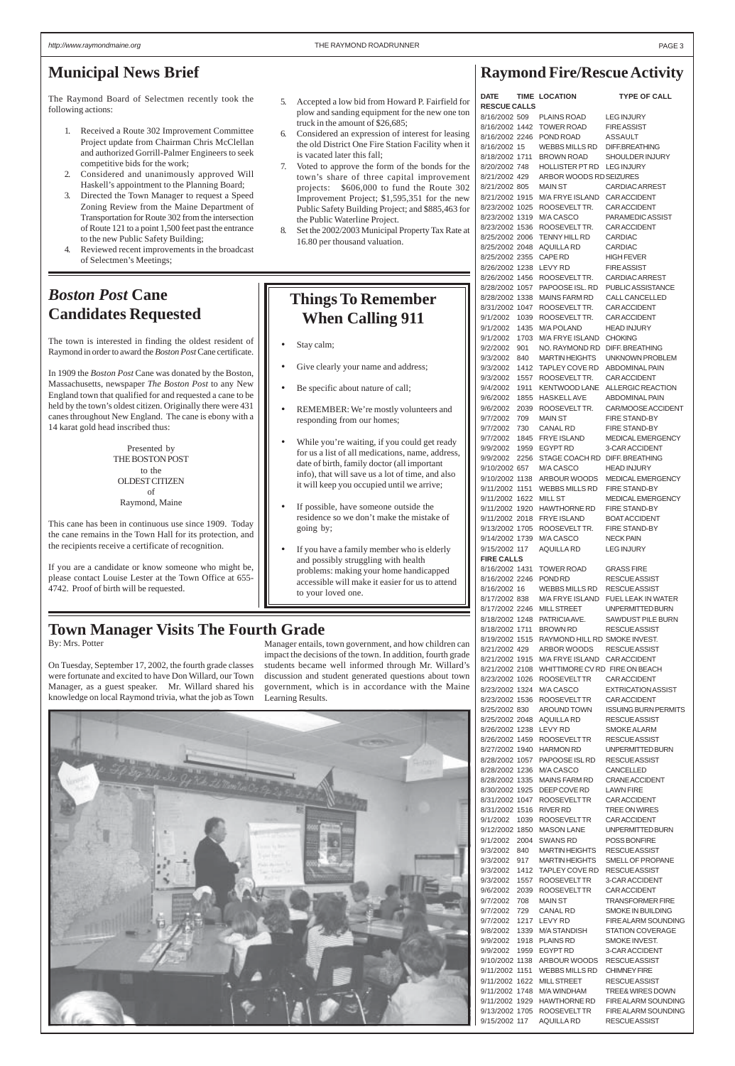## **Raymond Fire/Rescue Activity**

| <b>DATE</b><br><b>RESCUE CALLS</b>       |              | <b>TIME LOCATION</b>                                      | <b>TYPE OF CALL</b>                                |
|------------------------------------------|--------------|-----------------------------------------------------------|----------------------------------------------------|
| 8/16/2002 509                            |              | PLAINS ROAD                                               | <b>LEG INJURY</b>                                  |
| 8/16/2002 1442                           |              | <b>TOWER ROAD</b>                                         | <b>FIRE ASSIST</b>                                 |
| 8/16/2002 2246                           |              | POND ROAD                                                 | <b>ASSAULT</b>                                     |
| 8/16/2002 15<br>8/18/2002 1711           |              | WEBBS MILLS RD<br><b>BROWN ROAD</b>                       | DIFF.BREATHING                                     |
| 8/20/2002 748                            |              | HOLLISTER PT RD LEG INJURY                                | SHOULDER INJURY                                    |
| 8/21/2002 429                            |              | ARBOR WOODS RD SEIZURES                                   |                                                    |
| 8/21/2002 805                            |              | <b>MAIN ST</b>                                            | <b>CARDIAC ARREST</b>                              |
| 8/21/2002 1915                           |              | M/A FRYE ISLAND                                           | CAR ACCIDENT                                       |
| 8/23/2002 1025                           |              | ROOSEVELTTR.<br>M/A CASCO                                 | CAR ACCIDENT<br>PARAMEDIC ASSIST                   |
| 8/23/2002 1319<br>8/23/2002 1536         |              | ROOSEVELTTR.                                              | CAR ACCIDENT                                       |
| 8/25/2002 2006                           |              | <b>TENNY HILL RD</b>                                      | <b>CARDIAC</b>                                     |
| 8/25/2002 2048                           |              | <b>AQUILLA RD</b>                                         | <b>CARDIAC</b>                                     |
| 8/25/2002 2355                           |              | CAPE RD                                                   | <b>HIGH FEVER</b>                                  |
| 8/26/2002 1238<br>8/26/2002 1456         |              | LEVY RD<br>ROOSEVELTTR.                                   | <b>FIRE ASSIST</b><br>CARDIAC ARREST               |
| 8/28/2002 1057                           |              | PAPOOSE ISL, RD                                           | PUBLIC ASSISTANCE                                  |
| 8/28/2002 1338                           |              | <b>MAINS FARM RD</b>                                      | CALL CANCELLED                                     |
| 8/31/2002 1047                           |              | ROOSEVELTTR.                                              | <b>CAR ACCIDENT</b>                                |
| 9/1/2002                                 | 1039         | ROOSEVELTTR.                                              | CAR ACCIDENT                                       |
| 9/1/2002<br>9/1/2002                     | 1435<br>1703 | <b>M/A POLAND</b><br><b>M/A FRYE ISLAND</b>               | <b>HEAD INJURY</b><br><b>CHOKING</b>               |
| 9/2/2002                                 | 901          | NO. RAYMOND RD                                            | <b>DIFF. BREATHING</b>                             |
| 9/3/2002                                 | 840          | MARTIN HEIGHTS                                            | UNKNOWN PROBLEM                                    |
| 9/3/2002                                 | 1412         | TAPLEY COVE RD                                            | <b>ABDOMINAL PAIN</b>                              |
| 9/3/2002                                 | 1557         | ROOSEVELTTR.                                              | CAR ACCIDENT                                       |
| 9/4/2002<br>9/6/2002                     | 1911<br>1855 | <b>KENTWOOD LANE</b><br><b>HASKELLAVE</b>                 | ALLERGIC REACTION<br><b>ABDOMINAL PAIN</b>         |
| 9/6/2002                                 | 2039         | ROOSEVELTTR.                                              | CAR/MOOSE ACCIDENT                                 |
| 9/7/2002                                 | 709          | <b>MAIN ST</b>                                            | <b>FIRE STAND-BY</b>                               |
| 9/7/2002                                 | 730          | CANAL RD                                                  | <b>FIRE STAND-BY</b>                               |
| 9/7/2002                                 | 1845         | <b>FRYE ISLAND</b>                                        | <b>MEDICAL EMERGENCY</b>                           |
| 9/9/2002<br>9/9/2002                     | 1959<br>2256 | <b>EGYPT RD</b><br>STAGE COACH RD DIFF. BREATHING         | 3-CAR ACCIDENT                                     |
| 9/10/2002 657                            |              | M/A CASCO                                                 | <b>HEAD INJURY</b>                                 |
| 9/10/2002 1138                           |              |                                                           | ARBOUR WOODS MEDICAL EMERGENCY                     |
| 9/11/2002 1151                           |              | WEBBS MILLS RD FIRE STAND-BY                              |                                                    |
| 9/11/2002 1622 MILL ST                   |              |                                                           | MEDICAL EMERGENCY                                  |
|                                          |              | 9/11/2002 1920 HAWTHORNE RD<br>9/11/2002 2018 FRYE ISLAND | <b>FIRE STAND-BY</b><br><b>BOAT ACCIDENT</b>       |
|                                          |              | 9/13/2002 1705 ROOSEVELTTR.                               | FIRE STAND-BY                                      |
| 9/14/2002 1739                           |              | M/A CASCO                                                 | <b>NECK PAIN</b>                                   |
| 9/15/2002 117                            |              | AQUILLA RD                                                | LEG INJURY                                         |
| <b>FIRE CALLS</b><br>8/16/2002 1431      |              | <b>TOWER ROAD</b>                                         | <b>GRASS FIRE</b>                                  |
| 8/16/2002 2246                           |              | POND RD                                                   | <b>RESCUE ASSIST</b>                               |
| 8/16/2002 16                             |              | WEBBS MILLS RD                                            | <b>RESCUE ASSIST</b>                               |
| 8/17/2002 838                            |              |                                                           | M/A FRYE ISLAND FUEL LEAK IN WATER                 |
| 8/17/2002 2246                           |              | <b>MILL STREET</b>                                        | UNPERMITTED BURN                                   |
| 8/18/2002 1248<br>8/18/2002 1711         |              | PATRICIA AVE.<br><b>BROWN RD</b>                          | SAWDUST PILE BURN<br><b>RESCUE ASSIST</b>          |
| 8/19/2002 1515                           |              | RAYMOND HILL RD SMOKE INVEST.                             |                                                    |
| 8/21/2002 429                            |              | ARBOR WOODS                                               | <b>RESCUE ASSIST</b>                               |
| 8/21/2002 1915                           |              | M/A FRYE ISLAND                                           | <b>CAR ACCIDENT</b>                                |
| 8/21/2002 2108                           |              | WHITTIMORE CV RD FIRE ON BEACH                            |                                                    |
| 8/23/2002 1026<br>8/23/2002 1324         |              | ROOSEVELTTR<br>M/A CASCO                                  | CAR ACCIDENT<br><b>EXTRICATION ASSIST</b>          |
| 8/23/2002 1536                           |              | <b>ROOSEVELTTR</b>                                        | <b>CAR ACCIDENT</b>                                |
| 8/25/2002 830                            |              | AROUND TOWN                                               | <b>ISSUING BURN PERMITS</b>                        |
| 8/25/2002 2048                           |              | AQUILLA RD                                                | <b>RESCUE ASSIST</b>                               |
| 8/26/2002 1238<br>8/26/2002 1459         |              | LEVY RD<br><b>ROOSEVELTTR</b>                             | <b>SMOKE ALARM</b><br><b>RESCUE ASSIST</b>         |
| 8/27/2002 1940                           |              | <b>HARMON RD</b>                                          | UNPERMITTED BURN                                   |
| 8/28/2002 1057                           |              | PAPOOSE ISLRD                                             | <b>RESCUE ASSIST</b>                               |
| 8/28/2002 1236                           |              | M/A CASCO                                                 | CANCELLED                                          |
| 8/28/2002 1335<br>8/30/2002 1925         |              | <b>MAINS FARM RD</b><br>DEEP COVE RD                      | <b>CRANE ACCIDENT</b><br><b>LAWN FIRE</b>          |
| 8/31/2002 1047                           |              | <b>ROOSEVELTTR</b>                                        | CAR ACCIDENT                                       |
| 8/31/2002 1516                           |              | RIVER RD                                                  | TREE ON WIRES                                      |
| 9/1/2002                                 | 1039         | <b>ROOSEVELTTR</b>                                        | CAR ACCIDENT                                       |
| 9/12/2002 1850                           |              | <b>MASON LANE</b>                                         | UNPERMITTED BURN                                   |
| 9/1/2002<br>9/3/2002                     | 2004<br>840  | <b>SWANS RD</b><br><b>MARTIN HEIGHTS</b>                  | POSS BONFIRE<br><b>RESCUE ASSIST</b>               |
| 9/3/2002                                 | 917          | <b>MARTIN HEIGHTS</b>                                     | SMELL OF PROPANE                                   |
| 9/3/2002                                 | 1412         | TAPLEY COVE RD                                            | <b>RESCUE ASSIST</b>                               |
| 9/3/2002                                 | 1557         | <b>ROOSEVELTTR</b>                                        | 3-CAR ACCIDENT                                     |
| 9/6/2002                                 | 2039         | <b>ROOSEVELTTR</b><br><b>MAIN ST</b>                      | <b>CAR ACCIDENT</b>                                |
| 9/7/2002<br>9/7/2002                     | 708<br>729   | <b>CANAL RD</b>                                           | <b>TRANSFORMER FIRE</b><br>SMOKE IN BUILDING       |
| 9/7/2002                                 | 1217         | LEVY RD                                                   | FIRE ALARM SOUNDING                                |
|                                          |              | 9/8/2002 1339 M/ASTANDISH                                 | <b>STATION COVERAGE</b>                            |
| 9/9/2002 1918 PLAINS RD                  |              |                                                           | <b>SMOKE INVEST.</b>                               |
| 9/9/2002 1959 EGYPT RD<br>9/10/2002 1138 |              | ARBOUR WOODS                                              | 3-CAR ACCIDENT<br><b>RESCUE ASSIST</b>             |
| 9/11/2002 1151                           |              | <b>WEBBS MILLS RD</b>                                     | <b>CHIMNEY FIRE</b>                                |
| 9/11/2002 1622                           |              | <b>MILL STREET</b>                                        | <b>RESCUE ASSIST</b>                               |
| 9/11/2002 1748                           |              | M/A WINDHAM                                               | TREE& WIRES DOWN                                   |
| 9/11/2002 1929                           |              | HAWTHORNE RD                                              | <b>FIRE ALARM SOUNDING</b>                         |
| 9/13/2002 1705<br>9/15/2002 117          |              | <b>ROOSEVELTTR</b><br><b>AQUILLA RD</b>                   | <b>FIRE ALARM SOUNDING</b><br><b>RESCUE ASSIST</b> |
|                                          |              |                                                           |                                                    |

- Stay calm;
- Give clearly your name and address;
- Be specific about nature of call;
- REMEMBER: We're mostly volunteers and responding from our homes;
- While you're waiting, if you could get ready for us a list of all medications, name, address, date of birth, family doctor (all important info), that will save us a lot of time, and also it will keep you occupied until we arrive;
- If possible, have someone outside the residence so we don't make the mistake of going by;
- If you have a family member who is elderly and possibly struggling with health problems: making your home handicapped accessible will make it easier for us to attend to your loved one.

## <span id="page-2-0"></span>**Municipal News Brief**

The Raymond Board of Selectmen recently took the following actions:

- 1. Received a Route 302 Improvement Committee Project update from Chairman Chris McClellan and authorized Gorrill-Palmer Engineers to seek competitive bids for the work;
- 2. Considered and unanimously approved Will Haskell's appointment to the Planning Board;
- 3. Directed the Town Manager to request a Speed Zoning Review from the Maine Department of Transportation for Route 302 from the intersection of Route 121 to a point 1,500 feet past the entrance to the new Public Safety Building;
- 4. Reviewed recent improvements in the broadcast of Selectmen's Meetings;

## **Things To Remember When Calling 911**

## **Town Manager Visits The Fourth Grade**

By: Mrs. Potter

On Tuesday, September 17, 2002, the fourth grade classes were fortunate and excited to have Don Willard, our Town Manager, as a guest speaker. Mr. Willard shared his knowledge on local Raymond trivia, what the job as Town

Manager entails, town government, and how children can impact the decisions of the town. In addition, fourth grade students became well informed through Mr. Willard's discussion and student generated questions about town government, which is in accordance with the Maine Learning Results.



## *Boston Post* **Cane Candidates Requested**

The town is interested in finding the oldest resident of Raymond in order to award the *Boston Post* Cane certificate.

In 1909 the *Boston Post* Cane was donated by the Boston, Massachusetts, newspaper *The Boston Post* to any New England town that qualified for and requested a cane to be held by the town's oldest citizen. Originally there were 431 canes throughout New England. The cane is ebony with a 14 karat gold head inscribed thus:

> Presented by THE BOSTON POST to the OLDEST CITIZEN of Raymond, Maine

This cane has been in continuous use since 1909. Today the cane remains in the Town Hall for its protection, and the recipients receive a certificate of recognition.

If you are a candidate or know someone who might be, please contact Louise Lester at the Town Office at 655- 4742. Proof of birth will be requested.

- 5. Accepted a low bid from Howard P. Fairfield for plow and sanding equipment for the new one ton truck in the amount of \$26,685;
- 6. Considered an expression of interest for leasing the old District One Fire Station Facility when it is vacated later this fall;
- 7. Voted to approve the form of the bonds for the town's share of three capital improvement projects: \$606,000 to fund the Route 302 Improvement Project; \$1,595,351 for the new Public Safety Building Project; and \$885,463 for the Public Waterline Project.
- 8. Set the 2002/2003 Municipal Property Tax Rate at 16.80 per thousand valuation.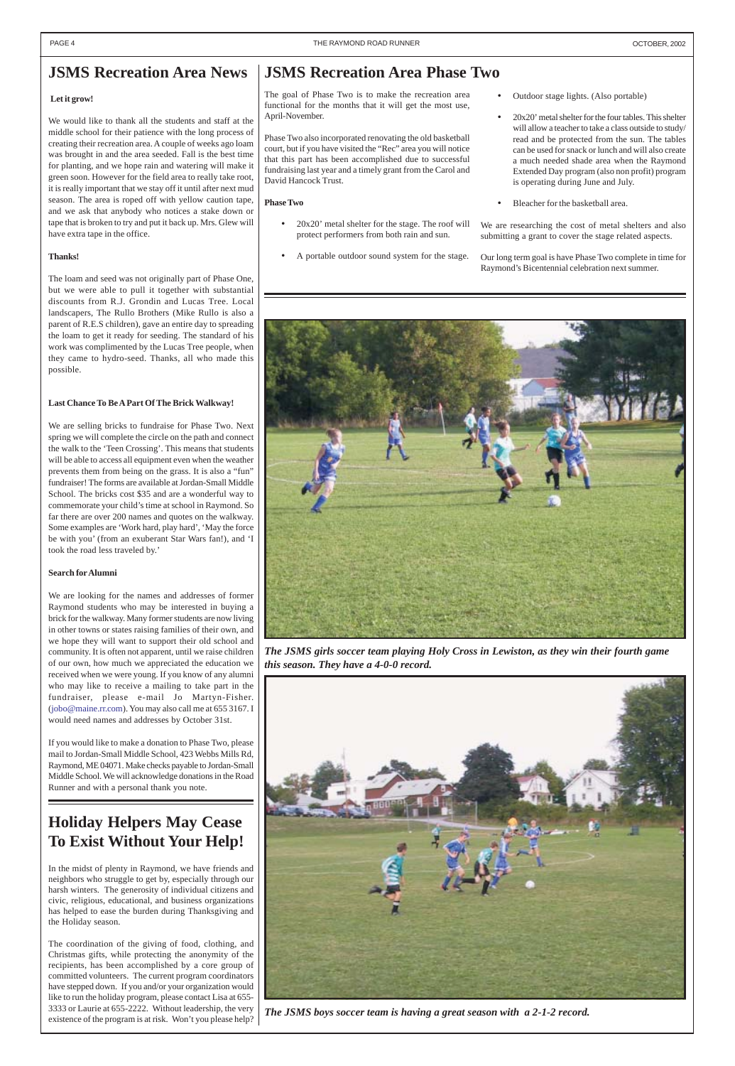## <span id="page-3-0"></span>**JSMS Recreation Area News**

#### **Let it grow!**

We would like to thank all the students and staff at the middle school for their patience with the long process of creating their recreation area. A couple of weeks ago loam was brought in and the area seeded. Fall is the best time for planting, and we hope rain and watering will make it green soon. However for the field area to really take root, it is really important that we stay off it until after next mud season. The area is roped off with yellow caution tape, and we ask that anybody who notices a stake down or tape that is broken to try and put it back up. Mrs. Glew will have extra tape in the office.

#### **Thanks!**

The loam and seed was not originally part of Phase One, but we were able to pull it together with substantial discounts from R.J. Grondin and Lucas Tree. Local landscapers, The Rullo Brothers (Mike Rullo is also a parent of R.E.S children), gave an entire day to spreading the loam to get it ready for seeding. The standard of his work was complimented by the Lucas Tree people, when they came to hydro-seed. Thanks, all who made this possible.

#### **Last Chance To Be A Part Of The Brick Walkway!**

We are selling bricks to fundraise for Phase Two. Next spring we will complete the circle on the path and connect the walk to the 'Teen Crossing'. This means that students will be able to access all equipment even when the weather prevents them from being on the grass. It is also a "fun" fundraiser! The forms are available at Jordan-Small Middle School. The bricks cost \$35 and are a wonderful way to commemorate your child's time at school in Raymond. So far there are over 200 names and quotes on the walkway. Some examples are 'Work hard, play hard', 'May the force be with you' (from an exuberant Star Wars fan!), and 'I took the road less traveled by.'

- 20x20' metal shelter for the stage. The roof will protect performers from both rain and sun.
- A portable outdoor sound system for the stage.
- Outdoor stage lights. (Also portable)
- 20x20' metal shelter for the four tables. This shelter will allow a teacher to take a class outside to study/ read and be protected from the sun. The tables can be used for snack or lunch and will also create a much needed shade area when the Raymond Extended Day program (also non profit) program is operating during June and July.
- Bleacher for the basketball area.

#### **Search for Alumni**

We are looking for the names and addresses of former Raymond students who may be interested in buying a brick for the walkway. Many former students are now living in other towns or states raising families of their own, and we hope they will want to support their old school and community. It is often not apparent, until we raise children of our own, how much we appreciated the education we received when we were young. If you know of any alumni who may like to receive a mailing to take part in the fundraiser, please e-mail Jo Martyn-Fisher. (jobo@maine.rr.com). You may also call me at 655 3167. I would need names and addresses by October 31st.

If you would like to make a donation to Phase Two, please mail to Jordan-Small Middle School, 423 Webbs Mills Rd, Raymond, ME 04071. Make checks payable to Jordan-Small Middle School. We will acknowledge donations in the Road Runner and with a personal thank you note.

## **JSMS Recreation Area Phase Two**

 The goal of Phase Two is to make the recreation area functional for the months that it will get the most use, April-November.

Phase Two also incorporated renovating the old basketball court, but if you have visited the "Rec" area you will notice that this part has been accomplished due to successful fundraising last year and a timely grant from the Carol and David Hancock Trust.

### **Phase Two**

We are researching the cost of metal shelters and also submitting a grant to cover the stage related aspects.

Our long term goal is have Phase Two complete in time for Raymond's Bicentennial celebration next summer.



*The JSMS girls soccer team playing Holy Cross in Lewiston, as they win their fourth game this season. They have a 4-0-0 record.*



*The JSMS boys soccer team is having a great season with a 2-1-2 record.*

## **Holiday Helpers May Cease To Exist Without Your Help!**

In the midst of plenty in Raymond, we have friends and neighbors who struggle to get by, especially through our harsh winters. The generosity of individual citizens and civic, religious, educational, and business organizations has helped to ease the burden during Thanksgiving and the Holiday season.

The coordination of the giving of food, clothing, and Christmas gifts, while protecting the anonymity of the recipients, has been accomplished by a core group of committed volunteers. The current program coordinators have stepped down. If you and/or your organization would like to run the holiday program, please contact Lisa at 655- 3333 or Laurie at 655-2222. Without leadership, the very existence of the program is at risk. Won't you please help?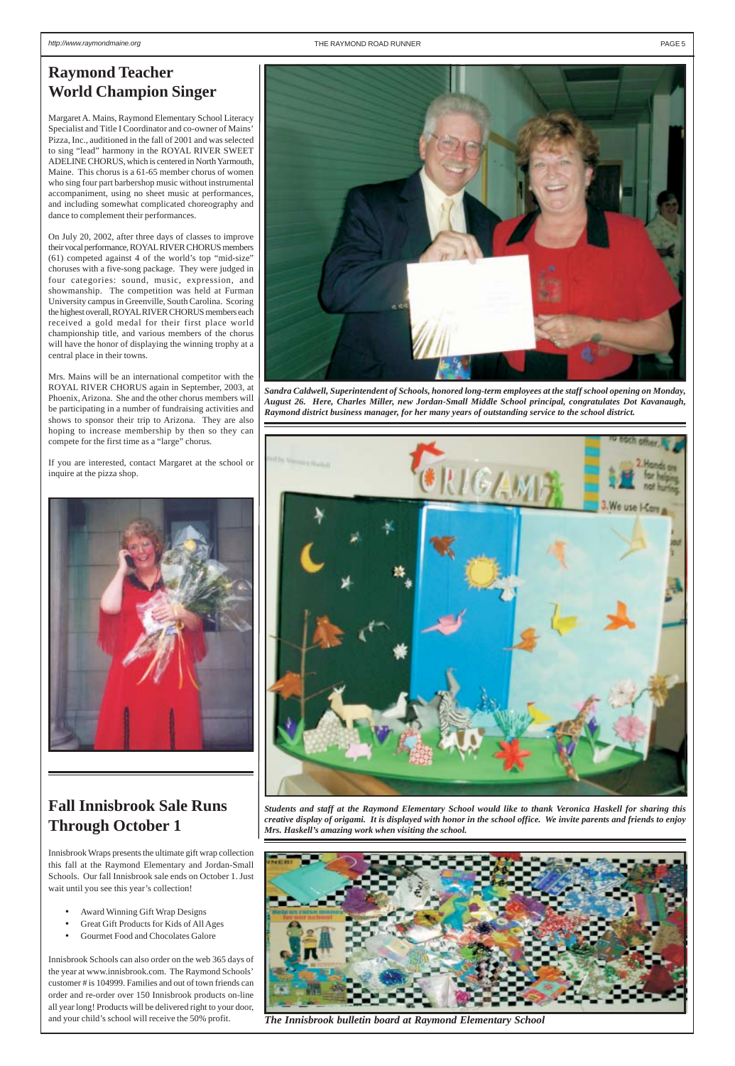*Students and staff at the Raymond Elementary School would like to thank Veronica Haskell for sharing this creative display of origami. It is displayed with honor in the school office. We invite parents and friends to enjoy Mrs. Haskell's amazing work when visiting the school.*

## <span id="page-4-0"></span>**Raymond Teacher World Champion Singer**

Margaret A. Mains, Raymond Elementary School Literacy Specialist and Title I Coordinator and co-owner of Mains' Pizza, Inc., auditioned in the fall of 2001 and was selected to sing "lead" harmony in the ROYAL RIVER SWEET ADELINE CHORUS, which is centered in North Yarmouth, Maine. This chorus is a 61-65 member chorus of women who sing four part barbershop music without instrumental accompaniment, using no sheet music at performances, and including somewhat complicated choreography and dance to complement their performances.

On July 20, 2002, after three days of classes to improve their vocal performance, ROYAL RIVER CHORUS members (61) competed against 4 of the world's top "mid-size" choruses with a five-song package. They were judged in four categories: sound, music, expression, and showmanship. The competition was held at Furman University campus in Greenville, South Carolina. Scoring the highest overall, ROYAL RIVER CHORUS members each received a gold medal for their first place world championship title, and various members of the chorus will have the honor of displaying the winning trophy at a central place in their towns.

- Award Winning Gift Wrap Designs
- Great Gift Products for Kids of All Ages
- Gourmet Food and Chocolates Galore

Mrs. Mains will be an international competitor with the ROYAL RIVER CHORUS again in September, 2003, at Phoenix, Arizona. She and the other chorus members will be participating in a number of fundraising activities and shows to sponsor their trip to Arizona. They are also hoping to increase membership by then so they can compete for the first time as a "large" chorus.

If you are interested, contact Margaret at the school or inquire at the pizza shop.



*Sandra Caldwell, Superintendent of Schools, honored long-term employees at the staff school opening on Monday, August 26. Here, Charles Miller, new Jordan-Small Middle School principal, congratulates Dot Kavanaugh, Raymond district business manager, for her many years of outstanding service to the school district.*





**Fall Innisbrook Sale Runs**

# **Through October 1**

Innisbrook Wraps presents the ultimate gift wrap collection this fall at the Raymond Elementary and Jordan-Small Schools. Our fall Innisbrook sale ends on October 1. Just wait until you see this year's collection!

Innisbrook Schools can also order on the web 365 days of the year at www.innisbrook.com. The Raymond Schools' customer # is 104999. Families and out of town friends can order and re-order over 150 Innisbrook products on-line all year long! Products will be delivered right to your door,



and your child's school will receive the 50% profit. *The Innisbrook bulletin board at Raymond Elementary School*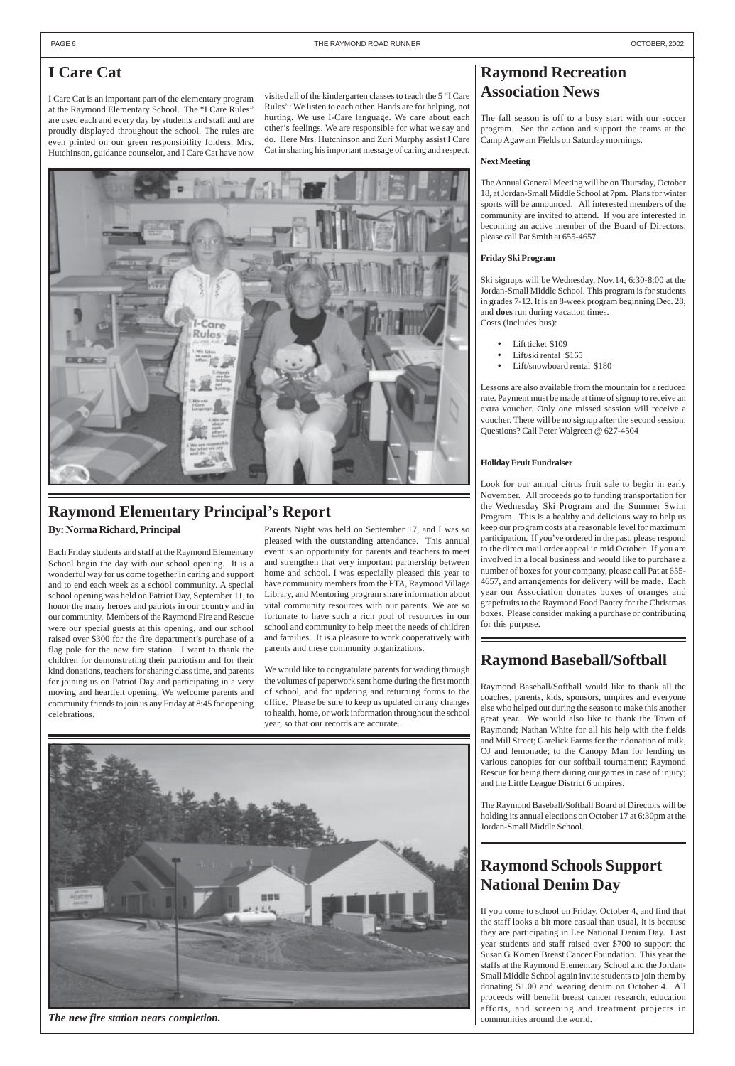## <span id="page-5-0"></span>**I Care Cat**

I Care Cat is an important part of the elementary program at the Raymond Elementary School. The "I Care Rules" are used each and every day by students and staff and are proudly displayed throughout the school. The rules are even printed on our green responsibility folders. Mrs. Hutchinson, guidance counselor, and I Care Cat have now

## **Raymond Schools Support National Denim Day**

If you come to school on Friday, October 4, and find that the staff looks a bit more casual than usual, it is because they are participating in Lee National Denim Day. Last year students and staff raised over \$700 to support the Susan G. Komen Breast Cancer Foundation. This year the staffs at the Raymond Elementary School and the Jordan-Small Middle School again invite students to join them by donating \$1.00 and wearing denim on October 4. All proceeds will benefit breast cancer research, education efforts, and screening and treatment projects in communities around the world.

## **Raymond Elementary Principal's Report**

**By: Norma Richard, Principal**

Each Friday students and staff at the Raymond Elementary School begin the day with our school opening. It is a wonderful way for us come together in caring and support and to end each week as a school community. A special school opening was held on Patriot Day, September 11, to honor the many heroes and patriots in our country and in our community. Members of the Raymond Fire and Rescue were our special guests at this opening, and our school raised over \$300 for the fire department's purchase of a flag pole for the new fire station. I want to thank the children for demonstrating their patriotism and for their kind donations, teachers for sharing class time, and parents for joining us on Patriot Day and participating in a very moving and heartfelt opening. We welcome parents and community friends to join us any Friday at 8:45 for opening celebrations.

Parents Night was held on September 17, and I was so pleased with the outstanding attendance. This annual event is an opportunity for parents and teachers to meet and strengthen that very important partnership between home and school. I was especially pleased this year to have community members from the PTA, Raymond Village Library, and Mentoring program share information about vital community resources with our parents. We are so fortunate to have such a rich pool of resources in our school and community to help meet the needs of children and families. It is a pleasure to work cooperatively with parents and these community organizations.

We would like to congratulate parents for wading through the volumes of paperwork sent home during the first month of school, and for updating and returning forms to the office. Please be sure to keep us updated on any changes to health, home, or work information throughout the school year, so that our records are accurate.



## **Raymond Recreation Association News**

The fall season is off to a busy start with our soccer program. See the action and support the teams at the Camp Agawam Fields on Saturday mornings.

### **Next Meeting**

The Annual General Meeting will be on Thursday, October 18, at Jordan-Small Middle School at 7pm. Plans for winter sports will be announced. All interested members of the community are invited to attend. If you are interested in becoming an active member of the Board of Directors, please call Pat Smith at 655-4657.

### **Friday Ski Program**

Ski signups will be Wednesday, Nov.14, 6:30-8:00 at the Jordan-Small Middle School. This program is for students in grades 7-12. It is an 8-week program beginning Dec. 28, and **does** run during vacation times. Costs (includes bus):

- Lift ticket \$109
- Lift/ski rental \$165
- Lift/snowboard rental \$180

Lessons are also available from the mountain for a reduced rate. Payment must be made at time of signup to receive an extra voucher. Only one missed session will receive a voucher. There will be no signup after the second session. Questions? Call Peter Walgreen @ 627-4504

### **Holiday Fruit Fundraiser**

Look for our annual citrus fruit sale to begin in early November. All proceeds go to funding transportation for the Wednesday Ski Program and the Summer Swim Program. This is a healthy and delicious way to help us keep our program costs at a reasonable level for maximum participation. If you've ordered in the past, please respond to the direct mail order appeal in mid October. If you are involved in a local business and would like to purchase a number of boxes for your company, please call Pat at 655- 4657, and arrangements for delivery will be made. Each year our Association donates boxes of oranges and grapefruits to the Raymond Food Pantry for the Christmas boxes. Please consider making a purchase or contributing for this purpose.

## **Raymond Baseball/Softball**

Raymond Baseball/Softball would like to thank all the coaches, parents, kids, sponsors, umpires and everyone else who helped out during the season to make this another great year. We would also like to thank the Town of Raymond; Nathan White for all his help with the fields and Mill Street; Garelick Farms for their donation of milk, OJ and lemonade; to the Canopy Man for lending us various canopies for our softball tournament; Raymond Rescue for being there during our games in case of injury; and the Little League District 6 umpires.

The Raymond Baseball/Softball Board of Directors will be

holding its annual elections on October 17 at 6:30pm at the Jordan-Small Middle School.

visited all of the kindergarten classes to teach the 5 "I Care Rules": We listen to each other. Hands are for helping, not hurting. We use I-Care language. We care about each other's feelings. We are responsible for what we say and do. Here Mrs. Hutchinson and Zuri Murphy assist I Care Cat in sharing his important message of caring and respect.



*The new fire station nears completion.*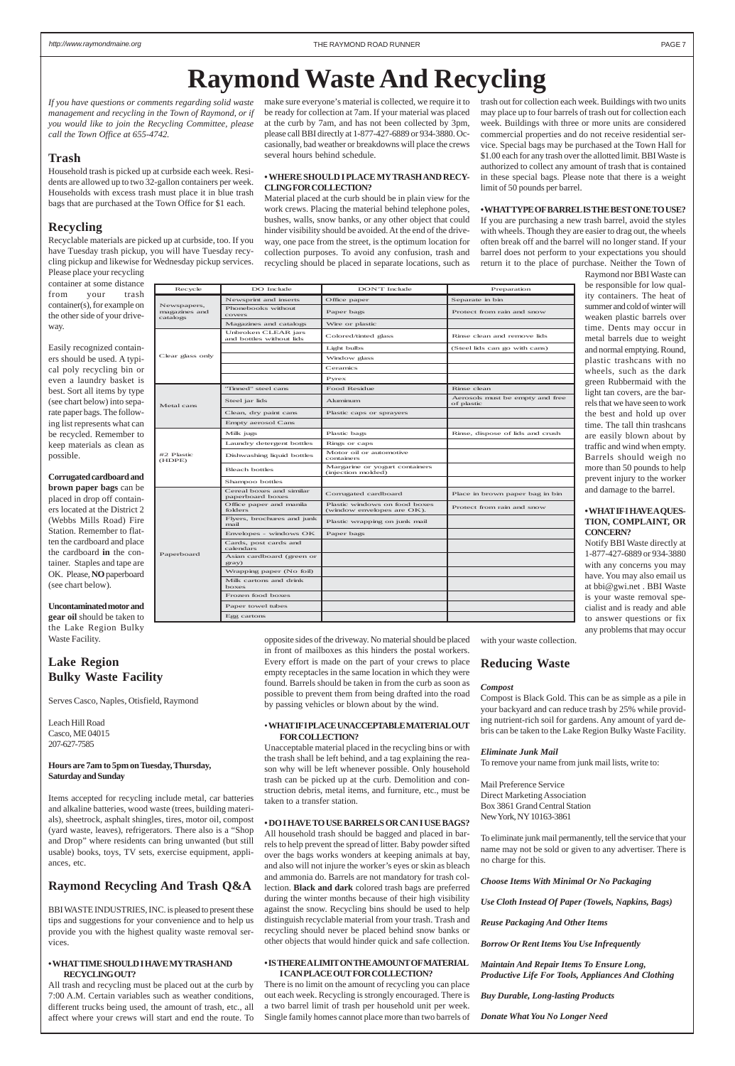Newspapers, magazines and catalogs

Phonebooks without

Magazines and catalogs Wire or plastic

Clear glass only

Unbroken CLEAR jars

Window glass Ceramics Pyrex

Metal cans

of plastic

Clean, dry paint cans Plastic caps or sprayers

Dishwashing liquid bottles Motor oil or automotive

Bleach bottles Margarine or yogurt containers

Laundry detergent bottles Rings or caps

Empty aerosol Cans

#2 Plastic (HDPE)

containers

(injection molded)

Plastic wrapping on junk mail

Tinned" steel cans Food Residue Rinse clean

Newsprint and inserts Coffice paper Separate in bin

Phonebooks without Paper bags Protect from rain and snow

Steel jar lids Aluminum Australian and free Across must be empty and free

Milk jugs Plastic bags Plastic bags Rinse, dispose of lids and crush

Colored/tinted glass Rinse clean and remove lids Light bulbs (Steel lids can go with cans)

 $P$  Corrugated cardboard Place in brown paper bag in bin

Plastic windows on food boxes<br>
(window envelopes are OK). Protect from rain and snow

Shampoo bottles

Paperboard

Cereal boxes and similar

Office paper and manila folders

Flyers, brochures and junk

Envelopes - windows OK Paper bags

Cards, post cards and

calendars

Asian cardboard (green or

gray)

Wrapping paper (No foil) Milk cartons and drink

boxes

Frozen food boxes Paper towel tubes Egg cartons

<span id="page-6-0"></span>*If you have questions or comments regarding solid waste management and recycling in the Town of Raymond, or if you would like to join the Recycling Committee, please call the Town Office at 655-4742.*

### **Trash**

Household trash is picked up at curbside each week. Residents are allowed up to two 32-gallon containers per week. Households with excess trash must place it in blue trash bags that are purchased at the Town Office for \$1 each.

### **Recycling**

Recyclable materials are picked up at curbside, too. If you have Tuesday trash pickup, you will have Tuesday recycling pickup and likewise for Wednesday pickup services.

Please place your recycling container at some distance from your trash container(s), for example on the other side of your driveway.

Easily recognized containers should be used. A typical poly recycling bin or even a laundry basket is best. Sort all items by type (see chart below) into separate paper bags. The following list represents what can be recycled. Remember to keep materials as clean as possible.

**Corrugated cardboard and brown paper bags** can be placed in drop off containers located at the District 2 (Webbs Mills Road) Fire Station. Remember to flatten the cardboard and place the cardboard **in** the container. Staples and tape are OK. Please, **NO** paperboard (see chart below).

**Uncontaminated motor and gear oil** should be taken to the Lake Region Bulky Waste Facility.

### **Lake Region Bulky Waste Facility**

Serves Casco, Naples, Otisfield, Raymond

Leach Hill Road Casco, ME 04015 207-627-7585

#### **Hours are 7am to 5pm on Tuesday, Thursday, Saturday and Sunday**

Items accepted for recycling include metal, car batteries and alkaline batteries, wood waste (trees, building materials), sheetrock, asphalt shingles, tires, motor oil, compost (yard waste, leaves), refrigerators. There also is a "Shop and Drop" where residents can bring unwanted (but still usable) books, toys, TV sets, exercise equipment, appliances, etc.

### **Raymond Recycling And Trash Q&A**

BBI WASTE INDUSTRIES, INC. is pleased to present these tips and suggestions for your convenience and to help us provide you with the highest quality waste removal services.

#### **• WHAT TIME SHOULD I HAVE MY TRASH AND RECYCLING OUT?**

All trash and recycling must be placed out at the curb by 7:00 A.M. Certain variables such as weather conditions, different trucks being used, the amount of trash, etc., all affect where your crews will start and end the route. To make sure everyone's material is collected, we require it to be ready for collection at 7am. If your material was placed at the curb by 7am, and has not been collected by 3pm, please call BBI directly at 1-877-427-6889 or 934-3880. Occasionally, bad weather or breakdowns will place the crews several hours behind schedule.

#### **• WHERE SHOULD I PLACE MY TRASH AND RECY-CLING FOR COLLECTION?**

Material placed at the curb should be in plain view for the work crews. Placing the material behind telephone poles, bushes, walls, snow banks, or any other object that could hinder visibility should be avoided. At the end of the driveway, one pace from the street, is the optimum location for collection purposes. To avoid any confusion, trash and recycling should be placed in separate locations, such as

Recycle DO Include DON'T Include Preparation

opposite sides of the driveway. No material should be placed in front of mailboxes as this hinders the postal workers. Every effort is made on the part of your crews to place empty receptacles in the same location in which they were found. Barrels should be taken in from the curb as soon as possible to prevent them from being drafted into the road by passing vehicles or blown about by the wind.

#### • **WHAT IF I PLACE UNACCEPTABLE MATERIAL OUT FOR COLLECTION?**

Unacceptable material placed in the recycling bins or with the trash shall be left behind, and a tag explaining the reason why will be left whenever possible. Only household trash can be picked up at the curb. Demolition and construction debris, metal items, and furniture, etc., must be taken to a transfer station.

### **• DO I HAVE TO USE BARRELS OR CAN I USE BAGS?**

All household trash should be bagged and placed in barrels to help prevent the spread of litter. Baby powder sifted over the bags works wonders at keeping animals at bay, and also will not injure the worker's eyes or skin as bleach and ammonia do. Barrels are not mandatory for trash collection. **Black and dark** colored trash bags are preferred during the winter months because of their high visibility against the snow. Recycling bins should be used to help distinguish recyclable material from your trash. Trash and recycling should never be placed behind snow banks or other objects that would hinder quick and safe collection.

#### **• IS THERE A LIMIT ON THE AMOUNT OF MATERIAL I CAN PLACE OUT FOR COLLECTION?**

There is no limit on the amount of recycling you can place out each week. Recycling is strongly encouraged. There is a two barrel limit of trash per household unit per week. Single family homes cannot place more than two barrels of trash out for collection each week. Buildings with two units may place up to four barrels of trash out for collection each week. Buildings with three or more units are considered commercial properties and do not receive residential service. Special bags may be purchased at the Town Hall for \$1.00 each for any trash over the allotted limit. BBI Waste is authorized to collect any amount of trash that is contained in these special bags. Please note that there is a weight limit of 50 pounds per barrel.

#### **• WHAT TYPE OF BARREL IS THE BEST ONE TO USE?**

If you are purchasing a new trash barrel, avoid the styles with wheels. Though they are easier to drag out, the wheels often break off and the barrel will no longer stand. If your barrel does not perform to your expectations you should return it to the place of purchase. Neither the Town of

Raymond nor BBI Waste can be responsible for low quality containers. The heat of summer and cold of winter will weaken plastic barrels over time. Dents may occur in metal barrels due to weight and normal emptying. Round, plastic trashcans with no wheels, such as the dark green Rubbermaid with the light tan covers, are the barrels that we have seen to work the best and hold up over time. The tall thin trashcans are easily blown about by traffic and wind when empty. Barrels should weigh no more than 50 pounds to help prevent injury to the worker and damage to the barrel.

#### **• WHAT IF I HAVE A QUES-TION, COMPLAINT, OR CONCERN?**

Notify BBI Waste directly at 1-877-427-6889 or 934-3880 with any concerns you may have. You may also email us at bbi@gwi.net . BBI Waste is your waste removal specialist and is ready and able to answer questions or fix any problems that may occur

with your waste collection.

### **Reducing Waste**

#### *Compost*

Compost is Black Gold. This can be as simple as a pile in your backyard and can reduce trash by 25% while providing nutrient-rich soil for gardens. Any amount of yard debris can be taken to the Lake Region Bulky Waste Facility.

#### *Eliminate Junk Mail*

To remove your name from junk mail lists, write to:

Mail Preference Service Direct Marketing Association Box 3861 Grand Central Station

### New York, NY 10163-3861

To eliminate junk mail permanently, tell the service that your name may not be sold or given to any advertiser. There is no charge for this.

*Choose Items With Minimal Or No Packaging*

*Use Cloth Instead Of Paper (Towels, Napkins, Bags)*

*Reuse Packaging And Other Items*

*Borrow Or Rent Items You Use Infrequently*

### *Maintain And Repair Items To Ensure Long, Productive Life For Tools, Appliances And Clothing*

*Buy Durable, Long-lasting Products*

*Donate What You No Longer Need*

# **Raymond Waste And Recycling**